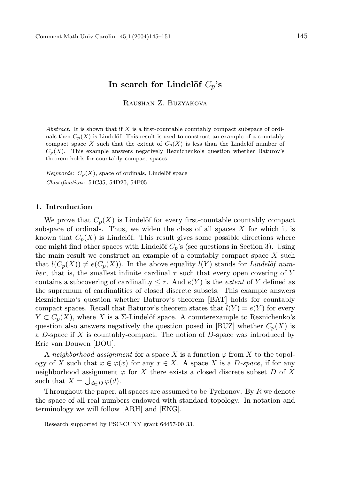# In search for Lindelöf  $C_n$ 's

Raushan Z. Buzyakova

Abstract. It is shown that if  $X$  is a first-countable countably compact subspace of ordinals then  $C_p(X)$  is Lindelöf. This result is used to construct an example of a countably compact space X such that the extent of  $C_p(X)$  is less than the Lindelöf number of  $C_p(X)$ . This example answers negatively Reznichenko's question whether Baturov's theorem holds for countably compact spaces.

Keywords:  $C_p(X)$ , space of ordinals, Lindelöf space Classification: 54C35, 54D20, 54F05

#### 1. Introduction

We prove that  $C_p(X)$  is Lindelöf for every first-countable countably compact subspace of ordinals. Thus, we widen the class of all spaces  $X$  for which it is known that  $C_p(X)$  is Lindelöf. This result gives some possible directions where one might find other spaces with Lindelöf  $C_p$ 's (see questions in Section 3). Using the main result we construct an example of a countably compact space  $X$  such that  $l(C_p(X)) \neq e(C_p(X))$ . In the above equality  $l(Y)$  stands for Lindelöf number, that is, the smallest infinite cardinal  $\tau$  such that every open covering of Y contains a subcovering of cardinality  $\leq \tau$ . And  $e(Y)$  is the *extent* of Y defined as the supremum of cardinalities of closed discrete subsets. This example answers Reznichenko's question whether Baturov's theorem [BAT] holds for countably compact spaces. Recall that Baturov's theorem states that  $l(Y) = e(Y)$  for every  $Y \subset C_p(X)$ , where X is a  $\Sigma$ -Lindelöf space. A counterexample to Reznichenko's question also answers negatively the question posed in [BUZ] whether  $C_p(X)$  is a  $D$ -space if  $X$  is countably-compact. The notion of  $D$ -space was introduced by Eric van Douwen [DOU].

A neighborhood assignment for a space X is a function  $\varphi$  from X to the topology of X such that  $x \in \varphi(x)$  for any  $x \in X$ . A space X is a D-space, if for any neighborhood assignment  $\varphi$  for X there exists a closed discrete subset D of X such that  $X = \bigcup_{d \in D} \varphi(d)$ .

Throughout the paper, all spaces are assumed to be Tychonov. By  $R$  we denote the space of all real numbers endowed with standard topology. In notation and terminology we will follow [ARH] and [ENG].

Research supported by PSC-CUNY grant 64457-00 33.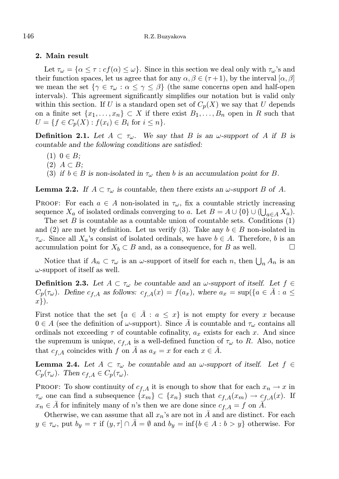## 2. Main result

Let  $\tau_{\omega} = {\alpha \leq \tau : cf(\alpha) \leq \omega}$ . Since in this section we deal only with  $\tau_{\omega}$ 's and their function spaces, let us agree that for any  $\alpha, \beta \in (\tau + 1)$ , by the interval  $[\alpha, \beta]$ we mean the set  $\{\gamma \in \tau_{\omega} : \alpha \leq \gamma \leq \beta\}$  (the same concerns open and half-open intervals). This agreement significantly simplifies our notation but is valid only within this section. If U is a standard open set of  $C_p(X)$  we say that U depends on a finite set  $\{x_1, \ldots, x_n\} \subset X$  if there exist  $B_1, \ldots, B_n$  open in R such that  $U = \{ f \in C_p(X) : f(x_i) \in B_i \text{ for } i \leq n \}.$ 

**Definition 2.1.** Let  $A \subset \tau_{\omega}$ . We say that B is an  $\omega$ -support of A if B is countable and the following conditions are satisfied:

- $(1)$   $0 \in B$ ;
- $(2)$   $A \subset B$ ;
- (3) if  $b \in B$  is non-isolated in  $\tau_{\omega}$  then b is an accumulation point for B.

**Lemma 2.2.** If  $A \subset \tau_\omega$  is countable, then there exists an  $\omega$ -support B of A.

**PROOF:** For each  $a \in A$  non-isolated in  $\tau_{\omega}$ , fix a countable strictly increasing sequence  $X_a$  of isolated ordinals converging to a. Let  $B = A \cup \{0\} \cup (\bigcup_{a \in A} X_a)$ .

The set  $B$  is countable as a countable union of countable sets. Conditions  $(1)$ and (2) are met by definition. Let us verify (3). Take any  $b \in B$  non-isolated in  $\tau_{\omega}$ . Since all  $X_a$ 's consist of isolated ordinals, we have  $b \in A$ . Therefore, b is an accumulation point for  $X_b \subset B$  and, as a consequence, for B as well.

Notice that if  $A_n \subset \tau_\omega$  is an  $\omega$ -support of itself for each n, then  $\bigcup_n A_n$  is an  $\omega$ -support of itself as well.

**Definition 2.3.** Let  $A \subset \tau_{\omega}$  be countable and an  $\omega$ -support of itself. Let  $f \in$  $C_p(\tau_\omega)$ . Define  $c_{f,A}$  as follows:  $c_{f,A}(x) = f(a_x)$ , where  $a_x = \sup(\{a \in \overline{A} : a \leq x \})$  $x$ }.

First notice that the set  $\{a \in A : a \leq x\}$  is not empty for every x because  $0 \in A$  (see the definition of  $\omega$ -support). Since  $\overline{A}$  is countable and  $\tau_{\omega}$  contains all ordinals not exceeding  $\tau$  of countable cofinality,  $a_x$  exists for each x. And since the supremum is unique,  $c_{f,A}$  is a well-defined function of  $\tau_{\omega}$  to R. Also, notice that  $c_{f,A}$  coincides with f on  $\overline{A}$  as  $a_x = x$  for each  $x \in \overline{A}$ .

**Lemma 2.4.** Let  $A \subset \tau_{\omega}$  be countable and an  $\omega$ -support of itself. Let  $f \in$  $C_p(\tau_\omega)$ . Then  $c_{f,A} \in C_p(\tau_\omega)$ .

PROOF: To show continuity of  $c_{f,A}$  it is enough to show that for each  $x_n \to x$  in  $\tau_{\omega}$  one can find a subsequence  $\{x_m\} \subset \{x_n\}$  such that  $c_{f,A}(x_m) \to c_{f,A}(x)$ . If  $x_n \in A$  for infinitely many of n's then we are done since  $c_{f,A} = f$  on A.

Otherwise, we can assume that all  $x_n$ 's are not in  $\overline{A}$  and are distinct. For each  $y \in \tau_{\omega}$ , put  $b_y = \tau$  if  $(y, \tau] \cap \overline{A} = \emptyset$  and  $b_y = \inf\{b \in A : b > y\}$  otherwise. For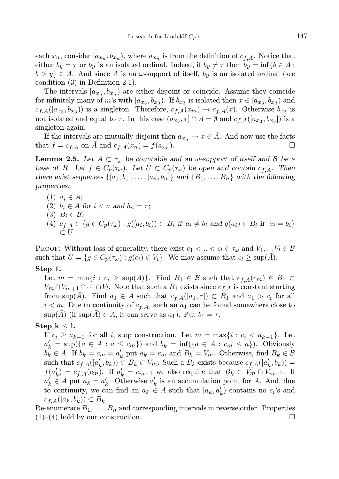each  $x_n$ , consider  $[a_{x_n}, b_{x_n})$ , where  $a_{x_n}$  is from the definition of  $c_{f,A}$ . Notice that either  $b_y = \tau$  or  $b_y$  is an isolated ordinal. Indeed, if  $b_y \neq \tau$  then  $b_y = \inf\{b \in A$ :  $b > y$   $\in A$ . And since A is an  $\omega$ -support of itself,  $b_y$  is an isolated ordinal (see condition (3) in Definition 2.1).

The intervals  $[a_{x_n}, b_{x_n})$  are either disjoint or coincide. Assume they coincide for infinitely many of m's with  $[a_{x_3}, b_{x_3})$ . If  $b_{x_3}$  is isolated then  $x \in [a_{x_3}, b_{x_3})$  and  $c_{f,A}([a_{x_3},b_{x_3}))$  is a singleton. Therefore,  $c_{f,A}(x_m) \to c_{f,A}(x)$ . Otherwise  $b_{x_3}$  is not isolated and equal to  $\tau$ . In this case  $(a_{x_3}, \tau] \cap \bar{A} = \emptyset$  and  $c_{f,A}([a_{x_3}, b_{x_3}])$  is a singleton again.

If the intervals are mutually disjoint then  $a_{x_n} \to x \in \overline{A}$ . And now use the facts that  $f = c_{f,A}$  on A and  $c_{f,A}(x_n) = f(a_{x_n}).$ ).  $\qquad \qquad \Box$ 

**Lemma 2.5.** Let  $A \subset \tau_\omega$  be countable and an  $\omega$ -support of itself and  $\beta$  be a base of R. Let  $f \in C_p(\tau_\omega)$ . Let  $U \subset C_p(\tau_\omega)$  be open and contain  $c_{f,A}$ . Then there exist sequences  $\{[a_1, b_1], \ldots, [a_n, b_n]\}$  and  $\{B_1, \ldots, B_n\}$  with the following properties:

- (1)  $a_i \in A;$
- (2)  $b_i \in A$  for  $i < n$  and  $b_n = \tau$ ;
- (3)  $B_i \in \mathcal{B}$ ;
- (4)  $c_{f,A} \in \{ g \in C_p(\tau_\omega) : g([a_i, b_i)) \subset B_i \text{ if } a_i \neq b_i \text{ and } g(a_i) \in B_i \text{ if } a_i = b_i \}$  $\subset U$ .

**PROOF:** Without loss of generality, there exist  $c_1 < ... < c_l \in \tau_\omega$  and  $V_1, ..., V_l \in \mathcal{B}$ such that  $U = \{g \in C_p(\tau_\omega) : g(c_i) \in V_i\}$ . We may assume that  $c_l \geq \sup(\overline{A})$ .

### Step 1.

Let  $m = \min\{i : c_i \geq \sup(\bar{A})\}.$  Find  $B_1 \in \mathcal{B}$  such that  $c_{f,A}(c_m) \in B_1 \subset$  $V_m \cap V_{m+1} \cap \cdots \cap V_l$ . Note that such a  $B_1$  exists since  $c_{f,A}$  is constant starting from sup( $\bar{A}$ ). Find  $a_1 \in A$  such that  $c_{f,A}([a_1, \tau]) \subset B_1$  and  $a_1 > c_i$  for all  $i < m$ . Due to continuity of  $c_{f,A}$ , such an  $a_1$  can be found somewhere close to  $\sup(A)$  (if  $\sup(A) \in A$ , it can serve as  $a_1$ ). Put  $b_1 = \tau$ .

### Step  $k \leq l$ .

If  $c_i \ge a_{k-1}$  for all i, stop construction. Let  $m = \max\{i : c_i < a_{k-1}\}\$ . Let  $a'_k = \sup(\{a \in A : a \leq c_m\})$  and  $b_k = \inf(\{a \in A : c_m \leq a\})$ . Obviously  $b_k^{\prime\prime} \in A$ . If  $b_k = c_m = a'_k$ k put  $a_k = c_m$  and  $B_k = V_m$ . Otherwise, find  $B_k \in \mathcal{B}$ such that  $c_{f,A}$  ([a]  $(k, b_k)$ )  $\subset B_k \subset V_m$ . Such a  $B_k$  exists because  $c_{f,A}([a]_k)$  $'_{k},b_{k})$ ) =  $f(a'_l)$  $k(k) = c_{f,A}(c_m)$ . If  $a'_k = c_{m-1}$  we also require that  $B_k \subset V_m \cap V_{m-1}$ . If  $a'_l$  $\hat{l}_k \in A$  put  $a_k = a'_k$  $\int_k$ . Otherwise  $a'_k$  $'_{k}$  is an accumulation point for A. And, due to continuity, we can find an  $a_k \in A$  such that  $[a_k, a'_k]$  contains no  $c_i$ 's and  $c_{f,A}([a_k, b_k)) \subset B_k.$ 

Re-enumerate  $B_1, \ldots, B_n$  and corresponding intervals in reverse order. Properties  $(1)$ – $(4)$  hold by our construction.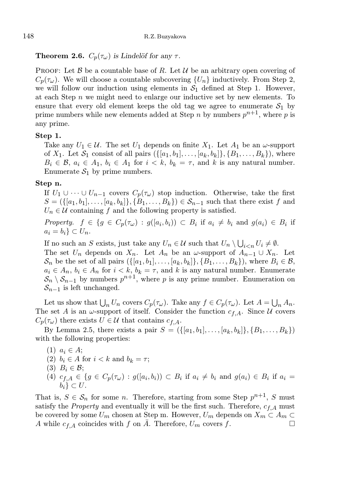**Theorem 2.6.**  $C_p(\tau_\omega)$  is Lindelöf for any  $\tau$ .

**PROOF:** Let  $\beta$  be a countable base of R. Let  $\mathcal{U}$  be an arbitrary open covering of  $C_p(\tau_\omega)$ . We will choose a countable subcovering  $\{U_n\}$  inductively. From Step 2, we will follow our induction using elements in  $S_1$  defined at Step 1. However, at each Step n we might need to enlarge our inductive set by new elements. To ensure that every old element keeps the old tag we agree to enumerate  $S_1$  by prime numbers while new elements added at Step n by numbers  $p^{n+1}$ , where p is any prime.

### Step 1.

Take any  $U_1 \in \mathcal{U}$ . The set  $U_1$  depends on finite  $X_1$ . Let  $A_1$  be an  $\omega$ -support of  $X_1$ . Let  $S_1$  consist of all pairs  $({[a_1,b_1], \ldots, [a_k,b_k]}$ ,  ${B_1, \ldots, B_k}$ , where  $B_i \in \mathcal{B}, a_i \in A_1, b_i \in A_1$  for  $i < k, b_k = \tau$ , and k is any natural number. Enumerate  $S_1$  by prime numbers.

### Step n.

If  $U_1 \cup \cdots \cup U_{n-1}$  covers  $C_p(\tau_\omega)$  stop induction. Otherwise, take the first  $S = (\{[a_1, b_1], \ldots, [a_k, b_k]\}, \{B_1, \ldots, B_k\}) \in S_{n-1}$  such that there exist f and  $U_n \in \mathcal{U}$  containing f and the following property is satisfied.

Property.  $f \in \{g \in C_p(\tau_\omega) : g([a_i, b_i)) \subset B_i \text{ if } a_i \neq b_i \text{ and } g(a_i) \in B_i \text{ if }$  $a_i = b_i$   $\subset U_n$ .

If no such an S exists, just take any  $U_n \in \mathcal{U}$  such that  $U_n \setminus \bigcup_{i \leq n} U_i \neq \emptyset$ .

The set  $U_n$  depends on  $X_n$ . Let  $A_n$  be an  $\omega$ -support of  $A_{n-1} \cup X_n$ . Let  $\mathcal{S}_n$  be the set of all pairs  $({[a_1, b_1], \ldots, [a_k, b_k]}, {B_1, \ldots, B_k}),$  where  $B_i \in \mathcal{B}$ ,  $a_i \in A_n$ ,  $b_i \in A_n$  for  $i < k$ ,  $b_k = \tau$ , and k is any natural number. Enumerate  $\mathcal{S}_n \setminus \mathcal{S}_{n-1}$  by numbers  $p^{n+1}$ , where p is any prime number. Enumeration on  $\mathcal{S}_{n-1}$  is left unchanged.

Let us show that  $\bigcup_n U_n$  covers  $C_p(\tau_\omega)$ . Take any  $f \in C_p(\tau_\omega)$ . Let  $A = \bigcup_n A_n$ . The set A is an  $\omega$ -support of itself. Consider the function  $c_{f,A}$ . Since U covers  $C_p(\tau_\omega)$  there exists  $U \in \mathcal{U}$  that contains  $c_{f,A}$ .

By Lemma 2.5, there exists a pair  $S = (\{[a_1, b_1], \ldots, [a_k, b_k]\}, \{B_1, \ldots, B_k\})$ with the following properties:

- (1)  $a_i \in A;$
- (2)  $b_i \in A$  for  $i < k$  and  $b_k = \tau$ ;
- (3)  $B_i \in \mathcal{B}$ ;
- $(4)$   $c_{f,A} \in \{g \in C_p(\tau_{\omega}) : g([a_i,b_i)) \subset B_i \text{ if } a_i \neq b_i \text{ and } g(a_i) \in B_i \text{ if } a_i =$  $b_i$ }  $\subset U$ .

That is,  $S \in \mathcal{S}_n$  for some *n*. Therefore, starting from some Step  $p^{n+1}$ , S must satisfy the *Property* and eventually it will be the first such. Therefore,  $c_{f,A}$  must be covered by some  $U_m$  chosen at Step m. However,  $U_m$  depends on  $X_m \subset A_m$ A while  $c_{f,A}$  coincides with f on A. Therefore,  $U_m$  covers f.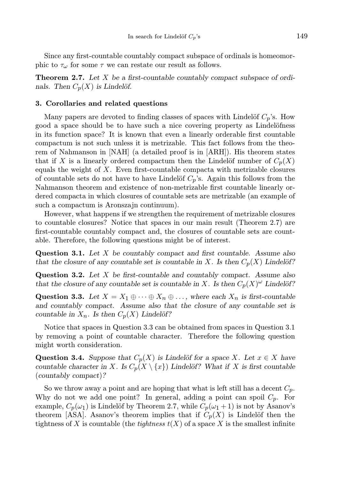Since any first-countable countably compact subspace of ordinals is homeomorphic to  $\tau_{\omega}$  for some  $\tau$  we can restate our result as follows.

**Theorem 2.7.** Let X be a first-countable countably compact subspace of ordinals. Then  $C_p(X)$  is Lindelöf.

### 3. Corollaries and related questions

Many papers are devoted to finding classes of spaces with Lindelöf  $C_p$ 's. How good a space should be to have such a nice covering property as Lindelöfness in its function space? It is known that even a linearly orderable first countable compactum is not such unless it is metrizable. This fact follows from the theorem of Nahmanson in [NAH] (a detailed proof is in [ARH]). His theorem states that if X is a linearly ordered compactum then the Lindelöf number of  $C_p(X)$ equals the weight of  $X$ . Even first-countable compacta with metrizable closures of countable sets do not have to have Lindelöf  $C_p$ 's. Again this follows from the Nahmanson theorem and existence of non-metrizable first countable linearly ordered compacta in which closures of countable sets are metrizable (an example of such a compactum is Aronszajn continuum).

However, what happens if we strengthen the requirement of metrizable closures to countable closures? Notice that spaces in our main result (Theorem 2.7) are first-countable countably compact and, the closures of countable sets are countable. Therefore, the following questions might be of interest.

**Question 3.1.** Let  $X$  be countably compact and first countable. Assume also that the closure of any countable set is countable in X. Is then  $C_p(X)$  Lindelöf?

**Question 3.2.** Let  $X$  be first-countable and countably compact. Assume also that the closure of any countable set is countable in X. Is then  $C_p(X)^\omega$  Lindelöf?

Question 3.3. Let  $X = X_1 \oplus \cdots \oplus X_n \oplus \ldots$ , where each  $X_n$  is first-countable and countably compact. Assume also that the closure of any countable set is countable in  $X_n$ . Is then  $C_p(X)$  Lindelöf?

Notice that spaces in Question 3.3 can be obtained from spaces in Question 3.1 by removing a point of countable character. Therefore the following question might worth consideration.

**Question 3.4.** Suppose that  $C_p(X)$  is Lindelöf for a space X. Let  $x \in X$  have countable character in X. Is  $C_p(X \setminus \{x\})$  Lindelöf? What if X is first countable (countably compact)?

So we throw away a point and are hoping that what is left still has a decent  $C_p$ . Why do not we add one point? In general, adding a point can spoil  $C_p$ . For example,  $C_p(\omega_1)$  is Lindelöf by Theorem 2.7, while  $C_p(\omega_1 + 1)$  is not by Asanov's theorem [ASA]. Asanov's theorem implies that if  $C_p(X)$  is Lindelöf then the tightness of X is countable (the *tightness t(X)* of a space X is the smallest infinite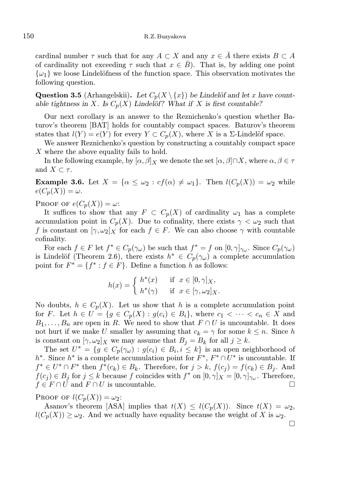cardinal number  $\tau$  such that for any  $A \subset X$  and any  $x \in \overline{A}$  there exists  $B \subset A$ of cardinality not exceeding  $\tau$  such that  $x \in \overline{B}$ . That is, by adding one point  $\{\omega_1\}$  we loose Lindelöfness of the function space. This observation motivates the following question.

**Question 3.5** (Arhangelskii). Let  $C_p(X \setminus \{x\})$  be Lindelöf and let x have countable tightness in X. Is  $C_p(X)$  Lindelöf? What if X is first countable?

Our next corollary is an answer to the Reznichenko's question whether Baturov's theorem [BAT] holds for countably compact spaces. Baturov's theorem states that  $l(Y) = e(Y)$  for every  $Y \subset C_p(X)$ , where X is a  $\Sigma$ -Lindelöf space.

We answer Reznichenko's question by constructing a countably compact space X where the above equality fails to hold.

In the following example, by  $[\alpha, \beta]_X$  we denote the set  $[\alpha, \beta] \cap X$ , where  $\alpha, \beta \in \tau$ and  $X \subset \tau$ .

**Example 3.6.** Let  $X = {\alpha \leq \omega_2 : cf(\alpha) \neq \omega_1}$ . Then  $l(C_p(X)) = \omega_2$  while  $e(C_p(X)) = \omega.$ 

PROOF OF  $e(C_n(X)) = \omega$ :

It suffices to show that any  $F \subset C_p(X)$  of cardinality  $\omega_1$  has a complete accumulation point in  $C_p(X)$ . Due to cofinality, there exists  $\gamma < \omega_2$  such that f is constant on  $[\gamma,\omega_2]_X$  for each  $f \in F$ . We can also choose  $\gamma$  with countable cofinality.

For each  $f \in F$  let  $f^* \in C_p(\gamma_\omega)$  be such that  $f^* = f$  on  $[0, \gamma]_{\gamma_\omega}$ . Since  $C_p(\gamma_\omega)$ is Lindelöf (Theorem 2.6), there exists  $h^* \in C_p(\gamma_\omega)$  a complete accumulation point for  $F^* = \{f^* : f \in F\}$ . Define a function h as follows:

$$
h(x) = \begin{cases} h^*(x) & \text{if } x \in [0, \gamma]_X, \\ h^*(\gamma) & \text{if } x \in [\gamma, \omega_2]_X. \end{cases}
$$

No doubts,  $h \in C_p(X)$ . Let us show that h is a complete accumulation point for F. Let  $h \in U = \{g \in C_p(X) : g(c_i) \in B_i\}$ , where  $c_1 < \cdots < c_n \in X$  and  $B_1, \ldots, B_n$  are open in R. We need to show that  $F \cap U$  is uncountable. It does not hurt if we make U smaller by assuming that  $c_k = \gamma$  for some  $k \leq n$ . Since h is constant on  $[\gamma, \omega_2]_X$  we may assume that  $B_j = B_k$  for all  $j \geq k$ .

The set  $U^* = \{g \in C_p(\gamma_\omega) : g(c_i) \in B_i, i \leq k\}$  is an open neighborhood of  $h^*$ . Since  $h^*$  is a complete accumulation point for  $F^*$ ,  $F^* \cap U^*$  is uncountable. If  $f^* \in U^* \cap F^*$  then  $f^*(c_k) \in B_k$ . Therefore, for  $j > k$ ,  $f(c_j) = f(c_k) \in B_j$ . And  $f(c_j) \in B_j$  for  $j \leq k$  because f coincides with  $f^*$  on  $[0, \gamma]_X = [0, \gamma]_{\gamma_\omega}^{\gamma}$ . Therefore,  $f \in F \cap U$  and  $F \cap U$  is uncountable.

PROOF OF  $l(C_p(X)) = \omega_2$ :

Asanov's theorem [ASA] implies that  $t(X) \leq l(C_p(X))$ . Since  $t(X) = \omega_2$ ,  $l(C_p(X)) \geq \omega_2$ . And we actually have equality because the weight of X is  $\omega_2$ .